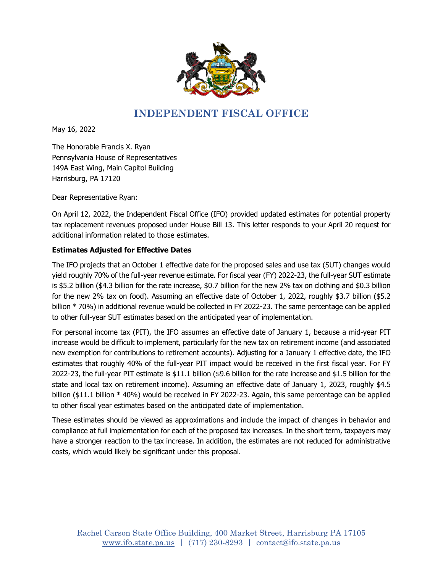

## **INDEPENDENT FISCAL OFFICE**

May 16, 2022

The Honorable Francis X. Ryan Pennsylvania House of Representatives 149A East Wing, Main Capitol Building Harrisburg, PA 17120

Dear Representative Ryan:

On April 12, 2022, the Independent Fiscal Office (IFO) provided updated estimates for potential property tax replacement revenues proposed under House Bill 13. This letter responds to your April 20 request for additional information related to those estimates.

## **Estimates Adjusted for Effective Dates**

The IFO projects that an October 1 effective date for the proposed sales and use tax (SUT) changes would yield roughly 70% of the full-year revenue estimate. For fiscal year (FY) 2022-23, the full-year SUT estimate is \$5.2 billion (\$4.3 billion for the rate increase, \$0.7 billion for the new 2% tax on clothing and \$0.3 billion for the new 2% tax on food). Assuming an effective date of October 1, 2022, roughly \$3.7 billion (\$5.2 billion \* 70%) in additional revenue would be collected in FY 2022-23. The same percentage can be applied to other full-year SUT estimates based on the anticipated year of implementation.

For personal income tax (PIT), the IFO assumes an effective date of January 1, because a mid-year PIT increase would be difficult to implement, particularly for the new tax on retirement income (and associated new exemption for contributions to retirement accounts). Adjusting for a January 1 effective date, the IFO estimates that roughly 40% of the full-year PIT impact would be received in the first fiscal year. For FY 2022-23, the full-year PIT estimate is \$11.1 billion (\$9.6 billion for the rate increase and \$1.5 billion for the state and local tax on retirement income). Assuming an effective date of January 1, 2023, roughly \$4.5 billion (\$11.1 billion \* 40%) would be received in FY 2022-23. Again, this same percentage can be applied to other fiscal year estimates based on the anticipated date of implementation.

These estimates should be viewed as approximations and include the impact of changes in behavior and compliance at full implementation for each of the proposed tax increases. In the short term, taxpayers may have a stronger reaction to the tax increase. In addition, the estimates are not reduced for administrative costs, which would likely be significant under this proposal.